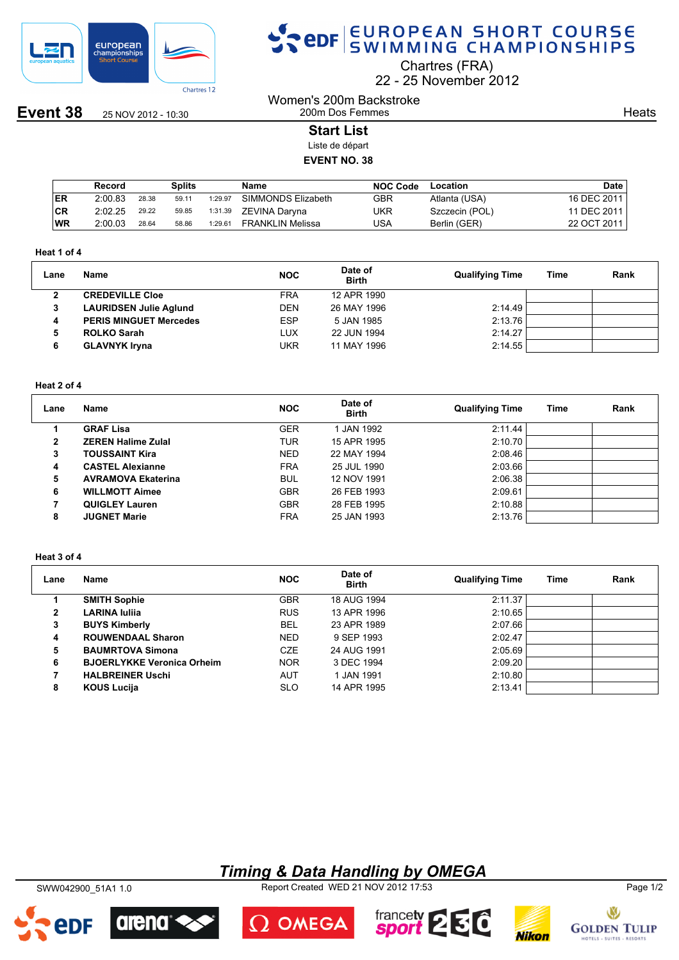

**Event 38** 25 NOV 2012 - 10:30

# SPOR EUROPEAN SHORT COURSE

Chartres (FRA)

22 25 November 2012

Women's 200m Backstroke 200m Dos Femmes

**Heats** 

## **Start List**

Liste de départ

### **EVENT NO. 38**

|           | Record  |       | Splits |         | Name               | <b>NOC Code</b> | Location       | <b>Date</b> |
|-----------|---------|-------|--------|---------|--------------------|-----------------|----------------|-------------|
| <b>ER</b> | 2:00.83 | 28.38 | 59.11  | 1:29.97 | SIMMONDS Elizabeth | GBR             | Atlanta (USA)  | 16 DEC 2011 |
| CR        | 2:02.25 | 29.22 | 59.85  | 1:31.39 | ZEVINA Daryna      | UKR             | Szczecin (POL) | 11 DEC 2011 |
| <b>WR</b> | 2:00.03 | 28.64 | 58.86  | 1:29.61 | FRANKLIN Melissa   | USA             | Berlin (GER)   | 22 OCT 2011 |

#### **Heat 1 of 4**

| Lane | Name                          | <b>NOC</b> | Date of<br><b>Birth</b> | <b>Qualifying Time</b> | <b>Time</b> | Rank |
|------|-------------------------------|------------|-------------------------|------------------------|-------------|------|
|      | <b>CREDEVILLE Cloe</b>        | <b>FRA</b> | 12 APR 1990             |                        |             |      |
|      | <b>LAURIDSEN Julie Aglund</b> | <b>DEN</b> | 26 MAY 1996             | 2:14.49                |             |      |
| 4    | <b>PERIS MINGUET Mercedes</b> | <b>ESP</b> | 5 JAN 1985              | 2:13.76                |             |      |
|      | <b>ROLKO Sarah</b>            | LUX        | 22 JUN 1994             | 2:14.27                |             |      |
|      | <b>GLAVNYK Iryna</b>          | UKR        | 11 MAY 1996             | 2:14.55                |             |      |

#### **Heat 2 of 4**

| Lane         | Name                      | <b>NOC</b> | Date of<br><b>Birth</b> | <b>Qualifying Time</b> | Time | Rank |
|--------------|---------------------------|------------|-------------------------|------------------------|------|------|
|              | <b>GRAF Lisa</b>          | <b>GER</b> | I JAN 1992              | 2:11.44                |      |      |
| $\mathbf{2}$ | <b>ZEREN Halime Zulal</b> | TUR        | 15 APR 1995             | 2:10.70                |      |      |
| 3            | <b>TOUSSAINT Kira</b>     | <b>NED</b> | 22 MAY 1994             | 2:08.46                |      |      |
| 4            | <b>CASTEL Alexianne</b>   | <b>FRA</b> | 25 JUL 1990             | 2:03.66                |      |      |
| 5            | <b>AVRAMOVA Ekaterina</b> | <b>BUL</b> | 12 NOV 1991             | 2:06.38                |      |      |
| 6            | <b>WILLMOTT Aimee</b>     | <b>GBR</b> | 26 FEB 1993             | 2:09.61                |      |      |
|              | <b>QUIGLEY Lauren</b>     | <b>GBR</b> | 28 FEB 1995             | 2:10.88                |      |      |
| 8            | <b>JUGNET Marie</b>       | <b>FRA</b> | 25 JAN 1993             | 2:13.76                |      |      |

#### **Heat 3 of 4**

| Lane | Name                              | <b>NOC</b> | Date of<br><b>Birth</b> | <b>Qualifying Time</b> | Time | Rank |
|------|-----------------------------------|------------|-------------------------|------------------------|------|------|
|      | <b>SMITH Sophie</b>               | <b>GBR</b> | 18 AUG 1994             | 2:11.37                |      |      |
| 2    | <b>LARINA Iulija</b>              | <b>RUS</b> | 13 APR 1996             | 2:10.65                |      |      |
| 3    | <b>BUYS Kimberly</b>              | <b>BEL</b> | 23 APR 1989             | 2:07.66                |      |      |
| 4    | <b>ROUWENDAAL Sharon</b>          | <b>NED</b> | 9 SEP 1993              | 2:02.47                |      |      |
| 5    | <b>BAUMRTOVA Simona</b>           | <b>CZE</b> | 24 AUG 1991             | 2:05.69                |      |      |
| 6    | <b>BJOERLYKKE Veronica Orheim</b> | <b>NOR</b> | 3 DEC 1994              | 2:09.20                |      |      |
|      | <b>HALBREINER Uschi</b>           | AUT        | 1 JAN 1991              | 2:10.80                |      |      |
| 8    | <b>KOUS Lucija</b>                | <b>SLO</b> | 14 APR 1995             | 2:13.41                |      |      |

## *Timing & Data Handling by OMEGA*

SWW042900\_51A1 1.0 Report Created WED 21 NOV 2012 17:53 Page 1/2